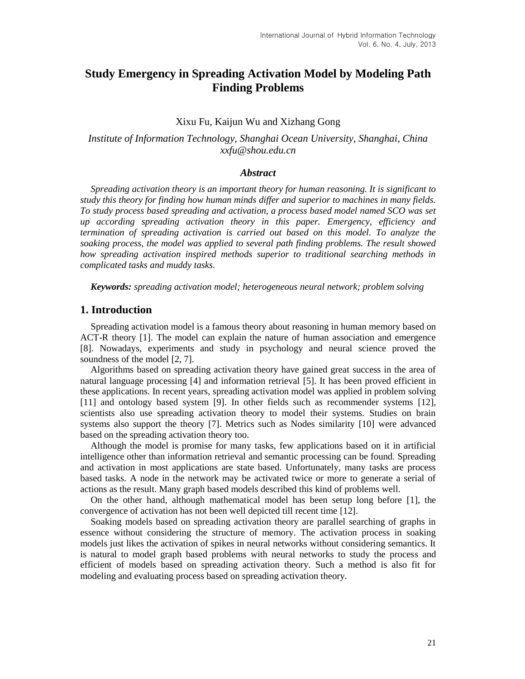# **Study Emergency in Spreading Activation Model by Modeling Path Finding Problems**

### Xixu Fu, Kaijun Wu and Xizhang Gong

*Institute of Information Technology, Shanghai Ocean University, Shanghai, China xxfu@shou.edu.cn*

### *Abstract*

*Spreading activation theory is an important theory for human reasoning. It is significant to study this theory for finding how human minds differ and superior to machines in many fields. To study process based spreading and activation, a process based model named SCO was set up according spreading activation theory in this paper. Emergency, efficiency and termination of spreading activation is carried out based on this model. To analyze the soaking process, the model was applied to several path finding problems. The result showed how spreading activation inspired methods superior to traditional searching methods in complicated tasks and muddy tasks.*

*Keywords: spreading activation model; heterogeneous neural network; problem solving*

### **1. Introduction**

Spreading activation model is a famous theory about reasoning in human memory based on ACT-R theory [1]. The model can explain the nature of human association and emergence [8]. Nowadays, experiments and study in psychology and neural science proved the soundness of the model [2, 7].

Algorithms based on spreading activation theory have gained great success in the area of natural language processing [4] and information retrieval [5]. It has been proved efficient in these applications. In recent years, spreading activation model was applied in problem solving [11] and ontology based system [9]. In other fields such as recommender systems [12], scientists also use spreading activation theory to model their systems. Studies on brain systems also support the theory [7]. Metrics such as Nodes similarity [10] were advanced based on the spreading activation theory too.

Although the model is promise for many tasks, few applications based on it in artificial intelligence other than information retrieval and semantic processing can be found. Spreading and activation in most applications are state based. Unfortunately, many tasks are process based tasks. A node in the network may be activated twice or more to generate a serial of actions as the result. Many graph based models described this kind of problems well.

On the other hand, although mathematical model has been setup long before [1], the convergence of activation has not been well depicted till recent time [12].

Soaking models based on spreading activation theory are parallel searching of graphs in essence without considering the structure of memory. The activation process in soaking models just likes the activation of spikes in neural networks without considering semantics. It is natural to model graph based problems with neural networks to study the process and efficient of models based on spreading activation theory. Such a method is also fit for modeling and evaluating process based on spreading activation theory.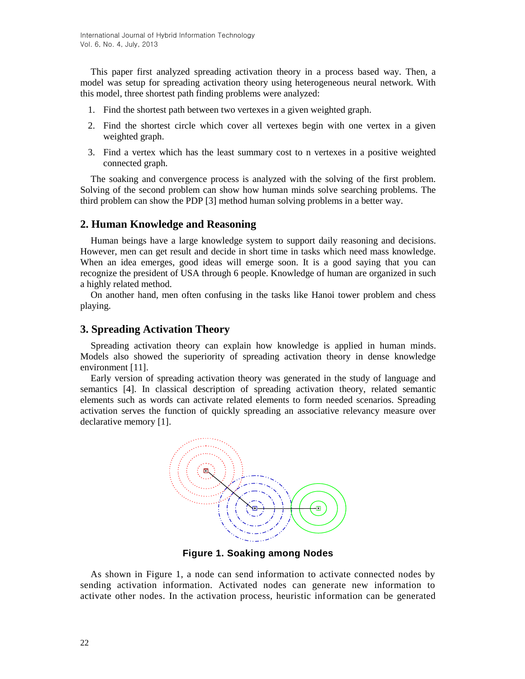This paper first analyzed spreading activation theory in a process based way. Then, a model was setup for spreading activation theory using heterogeneous neural network. With this model, three shortest path finding problems were analyzed:

- 1. Find the shortest path between two vertexes in a given weighted graph.
- 2. Find the shortest circle which cover all vertexes begin with one vertex in a given weighted graph.
- 3. Find a vertex which has the least summary cost to n vertexes in a positive weighted connected graph.

The soaking and convergence process is analyzed with the solving of the first problem. Solving of the second problem can show how human minds solve searching problems. The third problem can show the PDP [3] method human solving problems in a better way.

## **2. Human Knowledge and Reasoning**

Human beings have a large knowledge system to support daily reasoning and decisions. However, men can get result and decide in short time in tasks which need mass knowledge. When an idea emerges, good ideas will emerge soon. It is a good saying that you can recognize the president of USA through 6 people. Knowledge of human are organized in such a highly related method.

On another hand, men often confusing in the tasks like Hanoi tower problem and chess playing.

## **3. Spreading Activation Theory**

Spreading activation theory can explain how knowledge is applied in human minds. Models also showed the superiority of spreading activation theory in dense knowledge environment [11].

Early version of spreading activation theory was generated in the study of language and semantics [4]. In classical description of spreading activation theory, related semantic elements such as words can activate related elements to form needed scenarios. Spreading activation serves the function of quickly spreading an associative relevancy measure over declarative memory [1].



**Figure 1. Soaking among Nodes**

As shown in Figure 1, a node can send information to activate connected nodes by sending activation information. Activated nodes can generate new information to activate other nodes. In the activation process, heuristic information can be generated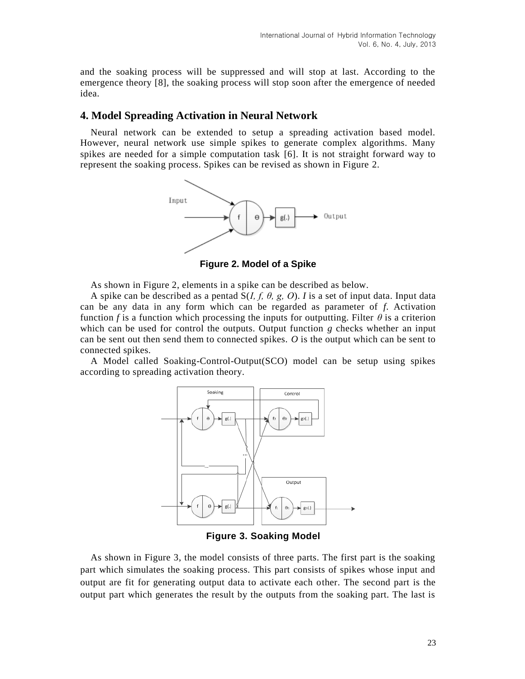and the soaking process will be suppressed and will stop at last. According to the emergence theory [8], the soaking process will stop soon after the emergence of needed idea.

## **4. Model Spreading Activation in Neural Network**

Neural network can be extended to setup a spreading activation based model. However, neural network use simple spikes to generate complex algorithms. Many spikes are needed for a simple computation task [6]. It is not straight forward way to represent the soaking process. Spikes can be revised as shown in Figure 2.



**Figure 2. Model of a Spike**

As shown in Figure 2, elements in a spike can be described as below.

A spike can be described as a pentad S(*I, f, θ, g, O*). *I* is a set of input data. Input data can be any data in any form which can be regarded as parameter of *f*. Activation function *f* is a function which processing the inputs for outputting. Filter  $\theta$  is a criterion which can be used for control the outputs. Output function *g* checks whether an input can be sent out then send them to connected spikes. *O* is the output which can be sent to connected spikes.

A Model called Soaking-Control-Output(SCO) model can be setup using spikes according to spreading activation theory.



**Figure 3. Soaking Model**

As shown in Figure 3, the model consists of three parts. The first part is the soaking part which simulates the soaking process. This part consists of spikes whose input and output are fit for generating output data to activate each other. The second part is the output part which generates the result by the outputs from the soaking part. The last is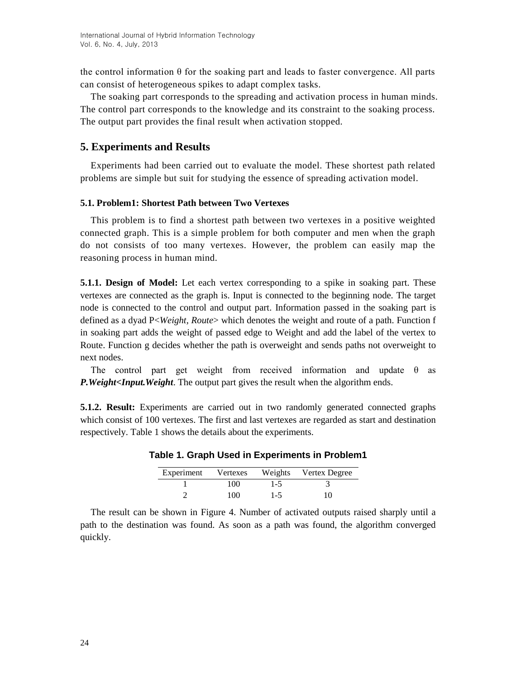the control information  $\theta$  for the soaking part and leads to faster convergence. All parts can consist of heterogeneous spikes to adapt complex tasks.

The soaking part corresponds to the spreading and activation process in human minds. The control part corresponds to the knowledge and its constraint to the soaking process. The output part provides the final result when activation stopped.

## **5. Experiments and Results**

Experiments had been carried out to evaluate the model. These shortest path related problems are simple but suit for studying the essence of spreading activation model.

## **5.1. Problem1: Shortest Path between Two Vertexes**

This problem is to find a shortest path between two vertexes in a positive weighted connected graph. This is a simple problem for both computer and men when the graph do not consists of too many vertexes. However, the problem can easily map the reasoning process in human mind.

**5.1.1. Design of Model:** Let each vertex corresponding to a spike in soaking part. These vertexes are connected as the graph is. Input is connected to the beginning node. The target node is connected to the control and output part. Information passed in the soaking part is defined as a dyad P<*Weight, Route*> which denotes the weight and route of a path. Function f in soaking part adds the weight of passed edge to Weight and add the label of the vertex to Route. Function g decides whether the path is overweight and sends paths not overweight to next nodes.

The control part get weight from received information and update  $\theta$  as *P.Weight<Input.Weight*. The output part gives the result when the algorithm ends.

**5.1.2. Result:** Experiments are carried out in two randomly generated connected graphs which consist of 100 vertexes. The first and last vertexes are regarded as start and destination respectively. Table 1 shows the details about the experiments.

| Experiment | Vertexes |     | Weights Vertex Degree |
|------------|----------|-----|-----------------------|
|            | 100      | 1-5 |                       |
|            | 100      | 1-5 | 10                    |

## **Table 1. Graph Used in Experiments in Problem1**

The result can be shown in Figure 4. Number of activated outputs raised sharply until a path to the destination was found. As soon as a path was found, the algorithm converged quickly.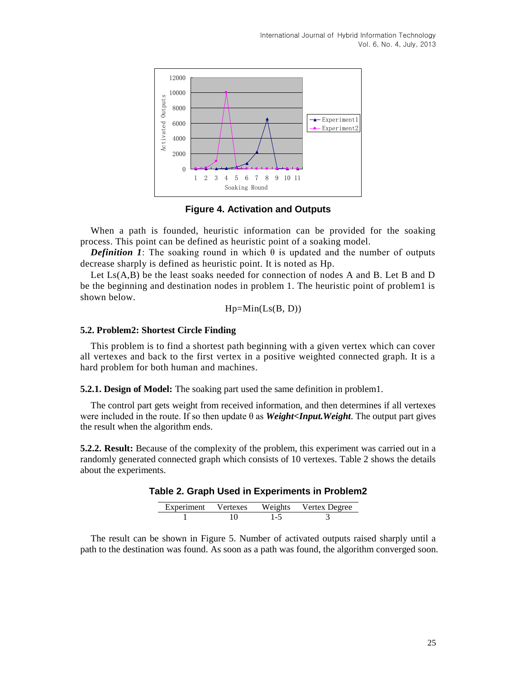International Journal of Hybrid Information Technology Vol. 6, No. 4, July, 2013



**Figure 4. Activation and Outputs**

When a path is founded, heuristic information can be provided for the soaking process. This point can be defined as heuristic point of a soaking model.

*Definition 1*: The soaking round in which  $\theta$  is updated and the number of outputs decrease sharply is defined as heuristic point. It is noted as Hp.

Let Ls(A,B) be the least soaks needed for connection of nodes A and B. Let B and D be the beginning and destination nodes in problem 1. The heuristic point of problem1 is shown below.

$$
Hp=Min(Ls(B, D))
$$

#### **5.2. Problem2: Shortest Circle Finding**

This problem is to find a shortest path beginning with a given vertex which can cover all vertexes and back to the first vertex in a positive weighted connected graph. It is a hard problem for both human and machines.

**5.2.1. Design of Model:** The soaking part used the same definition in problem1.

The control part gets weight from received information, and then determines if all vertexes were included in the route. If so then update  $\theta$  as *Weight<Input.Weight*. The output part gives the result when the algorithm ends.

**5.2.2. Result:** Because of the complexity of the problem, this experiment was carried out in a randomly generated connected graph which consists of 10 vertexes. Table 2 shows the details about the experiments.

| Table 2. Graph Used in Experiments in Problem2 |
|------------------------------------------------|
|                                                |

| Experiment Vertexes |     | Weights Vertex Degree |
|---------------------|-----|-----------------------|
|                     | 1.5 |                       |

The result can be shown in Figure 5. Number of activated outputs raised sharply until a path to the destination was found. As soon as a path was found, the algorithm converged soon.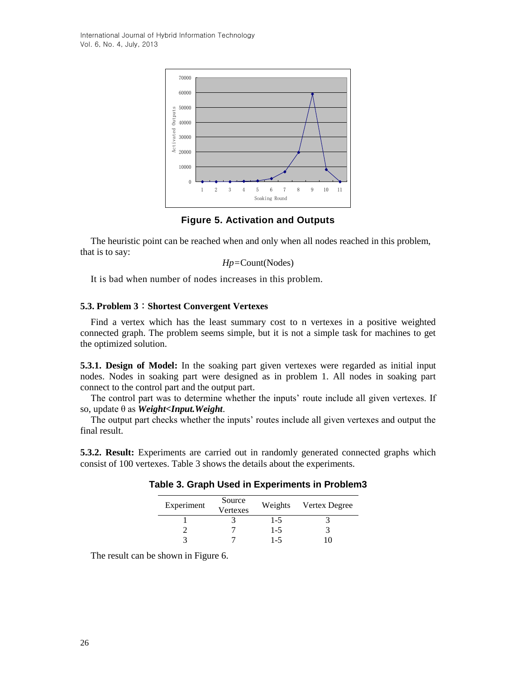International Journal of Hybrid Information Technology Vol. 6, No. 4, July, 2013



**Figure 5. Activation and Outputs**

The heuristic point can be reached when and only when all nodes reached in this problem, that is to say:

$$
Hp = Count(Nodes)
$$

It is bad when number of nodes increases in this problem.

### **5.3. Problem 3**:**Shortest Convergent Vertexes**

Find a vertex which has the least summary cost to n vertexes in a positive weighted connected graph. The problem seems simple, but it is not a simple task for machines to get the optimized solution.

**5.3.1. Design of Model:** In the soaking part given vertexes were regarded as initial input nodes. Nodes in soaking part were designed as in problem 1. All nodes in soaking part connect to the control part and the output part.

The control part was to determine whether the inputs' route include all given vertexes. If so, update θ as *Weight<Input.Weight*.

The output part checks whether the inputs' routes include all given vertexes and output the final result.

**5.3.2. Result:** Experiments are carried out in randomly generated connected graphs which consist of 100 vertexes. Table 3 shows the details about the experiments.

|  |  |  | Table 3. Graph Used in Experiments in Problem3 |  |  |
|--|--|--|------------------------------------------------|--|--|
|--|--|--|------------------------------------------------|--|--|

| Experiment | Source<br>Vertexes | Weights | Vertex Degree |
|------------|--------------------|---------|---------------|
|            |                    | 1-5     |               |
|            |                    | $1 - 5$ |               |
|            |                    | $1 - 5$ |               |

The result can be shown in Figure 6.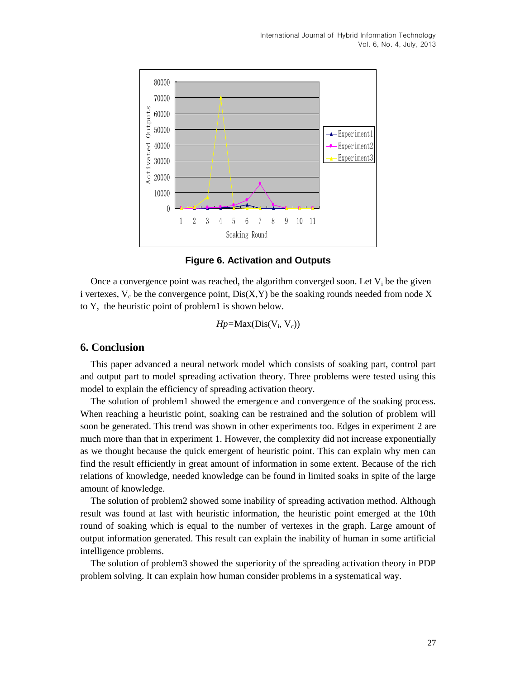

**Figure 6. Activation and Outputs**

Once a convergence point was reached, the algorithm converged soon. Let  $V_i$  be the given i vertexes,  $V_c$  be the convergence point,  $Dis(X, Y)$  be the soaking rounds needed from node X to Y, the heuristic point of problem1 is shown below.

*Hp*=Max(Dis(V<sub>i</sub>, V<sub>c</sub>))

## **6. Conclusion**

This paper advanced a neural network model which consists of soaking part, control part and output part to model spreading activation theory. Three problems were tested using this model to explain the efficiency of spreading activation theory.

The solution of problem1 showed the emergence and convergence of the soaking process. When reaching a heuristic point, soaking can be restrained and the solution of problem will soon be generated. This trend was shown in other experiments too. Edges in experiment 2 are much more than that in experiment 1. However, the complexity did not increase exponentially as we thought because the quick emergent of heuristic point. This can explain why men can find the result efficiently in great amount of information in some extent. Because of the rich relations of knowledge, needed knowledge can be found in limited soaks in spite of the large amount of knowledge.

The solution of problem2 showed some inability of spreading activation method. Although result was found at last with heuristic information, the heuristic point emerged at the 10th round of soaking which is equal to the number of vertexes in the graph. Large amount of output information generated. This result can explain the inability of human in some artificial intelligence problems.

The solution of problem3 showed the superiority of the spreading activation theory in PDP problem solving. It can explain how human consider problems in a systematical way.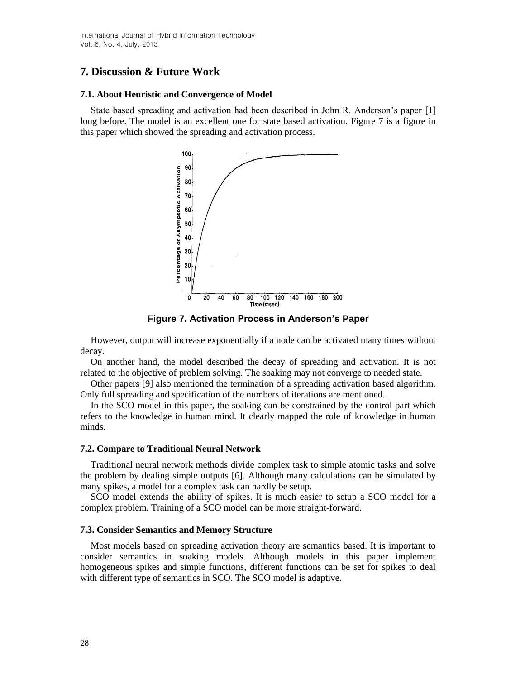# **7. Discussion & Future Work**

### **7.1. About Heuristic and Convergence of Model**

State based spreading and activation had been described in John R. Anderson's paper [1] long before. The model is an excellent one for state based activation. Figure 7 is a figure in this paper which showed the spreading and activation process.



**Figure 7. Activation Process in Anderson's Paper**

However, output will increase exponentially if a node can be activated many times without decay.

On another hand, the model described the decay of spreading and activation. It is not related to the objective of problem solving. The soaking may not converge to needed state.

Other papers [9] also mentioned the termination of a spreading activation based algorithm. Only full spreading and specification of the numbers of iterations are mentioned.

In the SCO model in this paper, the soaking can be constrained by the control part which refers to the knowledge in human mind. It clearly mapped the role of knowledge in human minds.

### **7.2. Compare to Traditional Neural Network**

Traditional neural network methods divide complex task to simple atomic tasks and solve the problem by dealing simple outputs [6]. Although many calculations can be simulated by many spikes, a model for a complex task can hardly be setup.

SCO model extends the ability of spikes. It is much easier to setup a SCO model for a complex problem. Training of a SCO model can be more straight-forward.

### **7.3. Consider Semantics and Memory Structure**

Most models based on spreading activation theory are semantics based. It is important to consider semantics in soaking models. Although models in this paper implement homogeneous spikes and simple functions, different functions can be set for spikes to deal with different type of semantics in SCO. The SCO model is adaptive.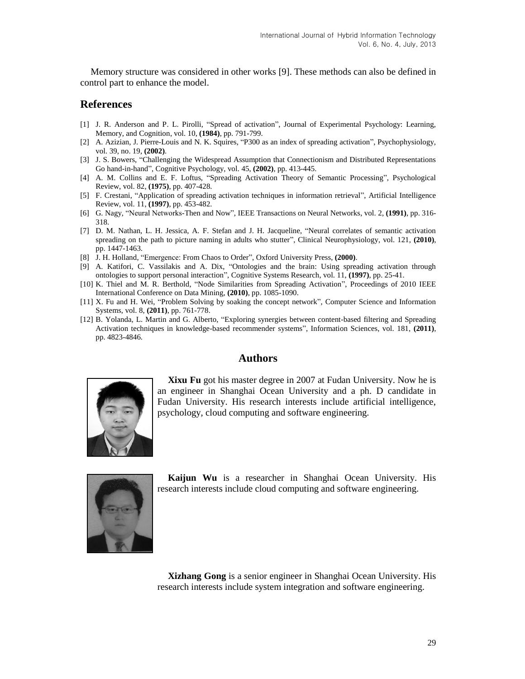Memory structure was considered in other works [9]. These methods can also be defined in control part to enhance the model.

### **References**

- [1] J. R. Anderson and P. L. Pirolli, "Spread of activation", Journal of Experimental Psychology: Learning, Memory, and Cognition, vol. 10, **(1984)**, pp. 791-799.
- [2] A. Azizian, J. Pierre-Louis and N. K. Squires, "P300 as an index of spreading activation", Psychophysiology, vol. 39, no. 19, **(2002)**.
- [3] J. S. Bowers, "Challenging the Widespread Assumption that Connectionism and Distributed Representations Go hand-in-hand", Cognitive Psychology, vol. 45, **(2002)**, pp. 413-445.
- [4] A. M. Collins and E. F. Loftus, "Spreading Activation Theory of Semantic Processing", Psychological Review, vol. 82, **(1975)**, pp. 407-428.
- [5] F. Crestani, "Application of spreading activation techniques in information retrieval", Artificial Intelligence Review, vol. 11, **(1997)**, pp. 453-482.
- [6] G. Nagy, "Neural Networks-Then and Now", IEEE Transactions on Neural Networks, vol. 2, **(1991)**, pp. 316- 318.
- [7] D. M. Nathan, L. H. Jessica, A. F. Stefan and J. H. Jacqueline, "Neural correlates of semantic activation spreading on the path to picture naming in adults who stutter", Clinical Neurophysiology, vol. 121, **(2010)**, pp. 1447-1463.
- [8] J. H. Holland, "Emergence: From Chaos to Order", Oxford University Press, **(2000)**.
- [9] A. Katifori, C. Vassilakis and A. Dix, "Ontologies and the brain: Using spreading activation through ontologies to support personal interaction", Cognitive Systems Research, vol. 11, **(1997)**, pp. 25-41.
- [10] K. Thiel and M. R. Berthold, "Node Similarities from Spreading Activation", Proceedings of 2010 IEEE International Conference on Data Mining, **(2010)**, pp. 1085-1090.
- [11] X. Fu and H. Wei, "Problem Solving by soaking the concept network", Computer Science and Information Systems, vol. 8, **(2011)**, pp. 761-778.
- [12] B. Yolanda, L. Martin and G. Alberto, "Exploring synergies between content-based filtering and Spreading Activation techniques in knowledge-based recommender systems", Information Sciences, vol. 181, **(2011)**, pp. 4823-4846.

## **Authors**



**Xixu Fu** got his master degree in 2007 at Fudan University. Now he is an engineer in Shanghai Ocean University and a ph. D candidate in Fudan University. His research interests include artificial intelligence, psychology, cloud computing and software engineering.



**Kaijun Wu** is a researcher in Shanghai Ocean University. His research interests include cloud computing and software engineering.

**Xizhang Gong** is a senior engineer in Shanghai Ocean University. His research interests include system integration and software engineering.